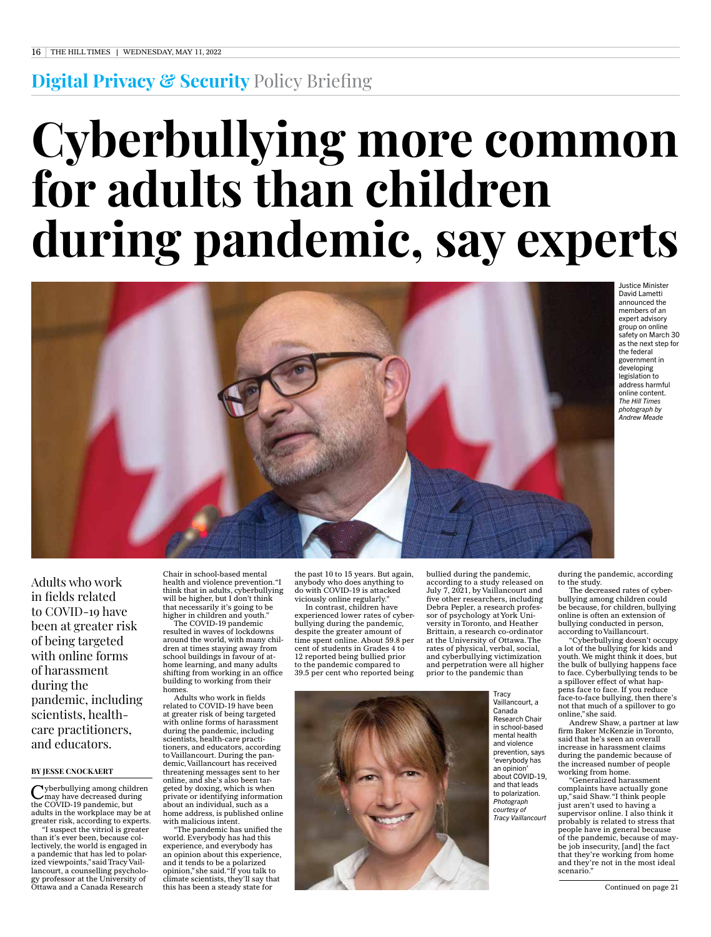## **Digital Privacy & Security** Policy Briefing

# **Cyberbullying more common for adults than children during pandemic, say experts**



Justice Minister David Lametti announced the members of an expert advisory group on online safety on March 30 as the next step for the federal government in developing legislation to address harmful online content. *The Hill Times photograph by Andrew Meade*

Adults who work in fields related to COVID-19 have been at greater risk of being targeted with online forms of harassment during the pandemic, including scientists, healthcare practitioners, and educators.

### **BY JESSE CNOCKAERT**

Vyberbullying among children may have decreased during the COVID-19 pandemic, but adults in the workplace may be at greater risk, according to experts. "I suspect the vitriol is greater than it's ever been, because collectively, the world is engaged in a pandemic that has led to polarized viewpoints," said Tracy Vaillancourt, a counselling psychology professor at the University of Ottawa and a Canada Research

Chair in school-based mental health and violence prevention. "I think that in adults, cyberbullying will be higher, but I don't think that necessarily it's going to be higher in children and youth."

The COVID-19 pandemic resulted in waves of lockdowns around the world, with many children at times staying away from school buildings in favour of athome learning, and many adults shifting from working in an office building to working from their homes.

Adults who work in fields related to COVID-19 have been at greater risk of being targeted with online forms of harassment during the pandemic, including scientists, health-care practitioners, and educators, according to Vaillancourt. During the pandemic, Vaillancourt has received threatening messages sent to her and she's also been tar geted by doxing, which is when private or identifying information about an individual, such as a home address, is published online with malicious intent.

"The pandemic has unified the world. Everybody has had this experience, and everybody has an opinion about this experience, and it tends to be a polarized opinion," she said. "If you talk to climate scientists, they'll say that this has been a steady state for

the past 10 to 15 years. But again, anybody who does anything to do with COVID-19 is attacked viciously online regularly."

In contrast, children have experienced lower rates of cyberbullying during the pandemic, despite the greater amount of time spent online. About 59.8 per cent of students in Grades 4 to 12 reported being bullied prior to the pandemic compared to 39.5 per cent who reported being

bullied during the pandemic, according to a study released on July 7, 2021, by Vaillancourt and five other researchers, including Debra Pepler, a research professor of psychology at York University in Toronto, and Heather Brittain, a research co-ordinator at the University of Ottawa. The rates of physical, verbal, social, and cyberbullying victimization and perpetration were all higher prior to the pandemic than

> **Tracy** Vaillancourt, a Canada Research Chair in school-based mental health and violence prevention, says 'everybody has an opinion' about COVID-19, and that leads to polarization. *Photograph courtesy of Tracy Vaillancourt*

during the pandemic, according to the study.

The decreased rates of cyberbullying among children could be because, for children, bullying online is often an extension of bullying conducted in person, according to Vaillancourt.

Cyberbullying doesn't occupy a lot of the bullying for kids and youth. We might think it does, but the bulk of bullying happens face to face. Cyberbullying tends to be a spillover effect of what happens face to face. If you reduce face-to-face bullying, then there's not that much of a spillover to go online," she said.

Andrew Shaw, a partner at law firm Baker McKenzie in Toronto, said that he's seen an overall increase in harassment claims during the pandemic because of the increased number of people working from home.

Generalized harassment complaints have actually gone up," said Shaw. "I think people just aren't used to having a supervisor online. I also think it probably is related to stress that people have in general because of the pandemic, because of maybe job insecurity, [and] the fact that they're working from home and they're not in the most ideal scenario."